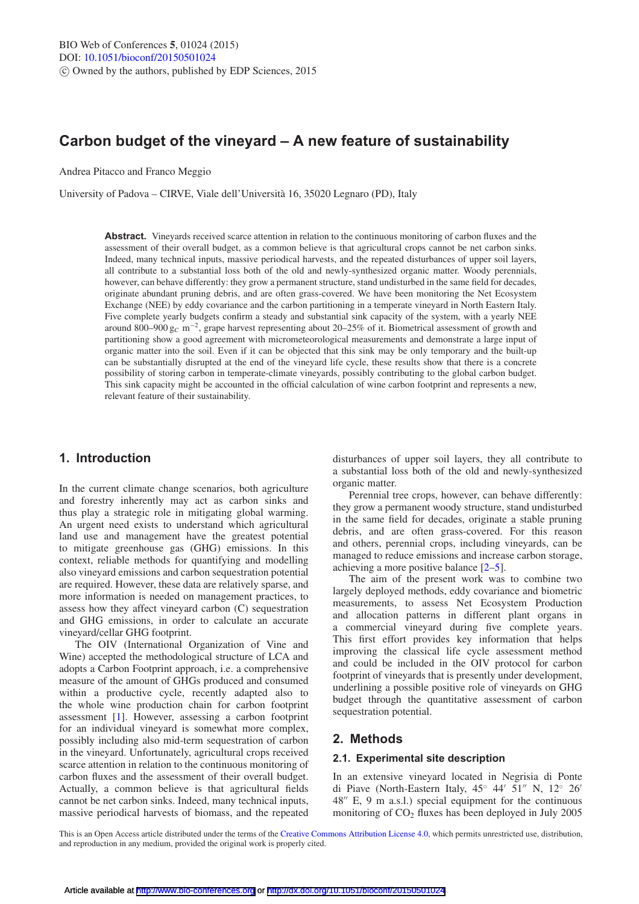# **Carbon budget of the vineyard – A new feature of sustainability**

Andrea Pitacco and Franco Meggio

University of Padova – CIRVE, Viale dell'Universita 16, 35020 Legnaro (PD), Italy `

**Abstract.** Vineyards received scarce attention in relation to the continuous monitoring of carbon fluxes and the assessment of their overall budget, as a common believe is that agricultural crops cannot be net carbon sinks. Indeed, many technical inputs, massive periodical harvests, and the repeated disturbances of upper soil layers, all contribute to a substantial loss both of the old and newly-synthesized organic matter. Woody perennials, however, can behave differently: they grow a permanent structure, stand undisturbed in the same field for decades, originate abundant pruning debris, and are often grass-covered. We have been monitoring the Net Ecosystem Exchange (NEE) by eddy covariance and the carbon partitioning in a temperate vineyard in North Eastern Italy. Five complete yearly budgets confirm a steady and substantial sink capacity of the system, with a yearly NEE around 800–900 g*<sup>C</sup>* m−2, grape harvest representing about 20–25% of it. Biometrical assessment of growth and partitioning show a good agreement with micrometeorological measurements and demonstrate a large input of organic matter into the soil. Even if it can be objected that this sink may be only temporary and the built-up can be substantially disrupted at the end of the vineyard life cycle, these results show that there is a concrete possibility of storing carbon in temperate-climate vineyards, possibly contributing to the global carbon budget. This sink capacity might be accounted in the official calculation of wine carbon footprint and represents a new, relevant feature of their sustainability.

# **1. Introduction**

In the current climate change scenarios, both agriculture and forestry inherently may act as carbon sinks and thus play a strategic role in mitigating global warming. An urgent need exists to understand which agricultural land use and management have the greatest potential to mitigate greenhouse gas (GHG) emissions. In this context, reliable methods for quantifying and modelling also vineyard emissions and carbon sequestration potential are required. However, these data are relatively sparse, and more information is needed on management practices, to assess how they affect vineyard carbon (C) sequestration and GHG emissions, in order to calculate an accurate vineyard/cellar GHG footprint.

The OIV (International Organization of Vine and Wine) accepted the methodological structure of LCA and adopts a Carbon Footprint approach, i.e. a comprehensive measure of the amount of GHGs produced and consumed within a productive cycle, recently adapted also to the whole wine production chain for carbon footprint assessment [\[1](#page-2-0)]. However, assessing a carbon footprint for an individual vineyard is somewhat more complex, possibly including also mid-term sequestration of carbon in the vineyard. Unfortunately, agricultural crops received scarce attention in relation to the continuous monitoring of carbon fluxes and the assessment of their overall budget. Actually, a common believe is that agricultural fields cannot be net carbon sinks. Indeed, many technical inputs, massive periodical harvests of biomass, and the repeated

disturbances of upper soil layers, they all contribute to a substantial loss both of the old and newly-synthesized organic matter.

Perennial tree crops, however, can behave differently: they grow a permanent woody structure, stand undisturbed in the same field for decades, originate a stable pruning debris, and are often grass-covered. For this reason and others, perennial crops, including vineyards, can be managed to reduce emissions and increase carbon storage, achieving a more positive balance [\[2](#page-2-1)[–5\]](#page-2-2).

The aim of the present work was to combine two largely deployed methods, eddy covariance and biometric measurements, to assess Net Ecosystem Production and allocation patterns in different plant organs in a commercial vineyard during five complete years. This first effort provides key information that helps improving the classical life cycle assessment method and could be included in the OIV protocol for carbon footprint of vineyards that is presently under development, underlining a possible positive role of vineyards on GHG budget through the quantitative assessment of carbon sequestration potential.

# **2. Methods**

#### **2.1. Experimental site description**

In an extensive vineyard located in Negrisia di Ponte di Piave (North-Eastern Italy,  $45^{\circ}$   $44'$   $51''$  N,  $12^{\circ}$   $26'$ 48" E, 9 m a.s.l.) special equipment for the continuous monitoring of  $CO<sub>2</sub>$  fluxes has been deployed in July 2005

This is an Open Access article distributed under the terms of the [Creative Commons Attribution License 4.0,](http://creativecommons.org/licenses/by/4.0/) which permits unrestricted use, distribution, and reproduction in any medium, provided the original work is properly cited.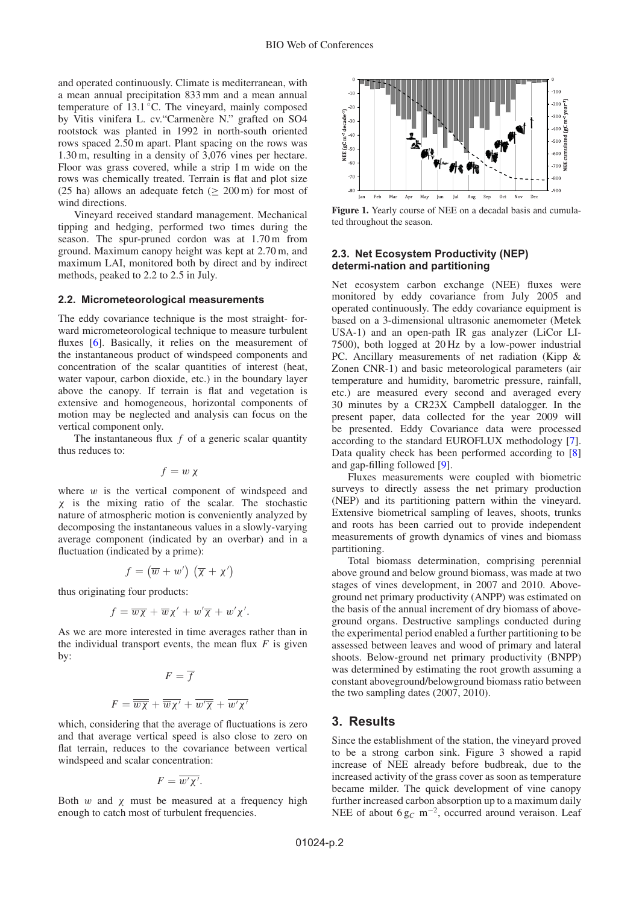and operated continuously. Climate is mediterranean, with a mean annual precipitation 833 mm and a mean annual temperature of  $13.1\,^{\circ}$ C. The vineyard, mainly composed by Vitis vinifera L. cv. "Carmenère N." grafted on SO4 rootstock was planted in 1992 in north-south oriented rows spaced 2.50 m apart. Plant spacing on the rows was 1.30 m, resulting in a density of 3,076 vines per hectare. Floor was grass covered, while a strip 1 m wide on the rows was chemically treated. Terrain is flat and plot size (25 ha) allows an adequate fetch ( $\geq$  200 m) for most of wind directions.

Vineyard received standard management. Mechanical tipping and hedging, performed two times during the season. The spur-pruned cordon was at 1.70 m from ground. Maximum canopy height was kept at 2.70 m, and maximum LAI, monitored both by direct and by indirect methods, peaked to 2.2 to 2.5 in July.

#### **2.2. Micrometeorological measurements**

The eddy covariance technique is the most straight- forward micrometeorological technique to measure turbulent fluxes [\[6\]](#page-2-3). Basically, it relies on the measurement of the instantaneous product of windspeed components and concentration of the scalar quantities of interest (heat, water vapour, carbon dioxide, etc.) in the boundary layer above the canopy. If terrain is flat and vegetation is extensive and homogeneous, horizontal components of motion may be neglected and analysis can focus on the vertical component only.

The instantaneous flux *f* of a generic scalar quantity thus reduces to:

$$
f = w \chi
$$

where  $w$  is the vertical component of windspeed and χ is the mixing ratio of the scalar. The stochastic nature of atmospheric motion is conveniently analyzed by decomposing the instantaneous values in a slowly-varying average component (indicated by an overbar) and in a fluctuation (indicated by a prime):

$$
f = (\overline{w} + w') (\overline{\chi} + \chi')
$$

thus originating four products:

$$
f = \overline{w\chi} + \overline{w}\chi' + w'\overline{\chi} + w'\chi'.
$$

As we are more interested in time averages rather than in the individual transport events, the mean flux  $F$  is given by:

$$
F = \overline{f}
$$

$$
F = \overline{\overline{w}\overline{\chi}} + \overline{\overline{w}\chi'} + \overline{w'\overline{\chi}} + \overline{w'\chi'}
$$

which, considering that the average of fluctuations is zero and that average vertical speed is also close to zero on flat terrain, reduces to the covariance between vertical windspeed and scalar concentration:

$$
F=\overline{w'\chi'}.
$$

Both w and  $\chi$  must be measured at a frequency high enough to catch most of turbulent frequencies.



**Figure 1.** Yearly course of NEE on a decadal basis and cumulated throughout the season.

#### **2.3. Net Ecosystem Productivity (NEP) determi-nation and partitioning**

Net ecosystem carbon exchange (NEE) fluxes were monitored by eddy covariance from July 2005 and operated continuously. The eddy covariance equipment is based on a 3-dimensional ultrasonic anemometer (Metek USA-1) and an open-path IR gas analyzer (LiCor LI-7500), both logged at 20 Hz by a low-power industrial PC. Ancillary measurements of net radiation (Kipp & Zonen CNR-1) and basic meteorological parameters (air temperature and humidity, barometric pressure, rainfall, etc.) are measured every second and averaged every 30 minutes by a CR23X Campbell datalogger. In the present paper, data collected for the year 2009 will be presented. Eddy Covariance data were processed according to the standard EUROFLUX methodology [\[7](#page-2-4)]. Data quality check has been performed according to [\[8\]](#page-2-5) and gap-filling followed [\[9\]](#page-2-6).

Fluxes measurements were coupled with biometric surveys to directly assess the net primary production (NEP) and its partitioning pattern within the vineyard. Extensive biometrical sampling of leaves, shoots, trunks and roots has been carried out to provide independent measurements of growth dynamics of vines and biomass partitioning.

Total biomass determination, comprising perennial above ground and below ground biomass, was made at two stages of vines development, in 2007 and 2010. Aboveground net primary productivity (ANPP) was estimated on the basis of the annual increment of dry biomass of aboveground organs. Destructive samplings conducted during the experimental period enabled a further partitioning to be assessed between leaves and wood of primary and lateral shoots. Below-ground net primary productivity (BNPP) was determined by estimating the root growth assuming a constant aboveground/belowground biomass ratio between the two sampling dates (2007, 2010).

### **3. Results**

Since the establishment of the station, the vineyard proved to be a strong carbon sink. Figure 3 showed a rapid increase of NEE already before budbreak, due to the increased activity of the grass cover as soon as temperature became milder. The quick development of vine canopy further increased carbon absorption up to a maximum daily NEE of about 6 g<sub>C</sub> m<sup>−2</sup>, occurred around veraison. Leaf